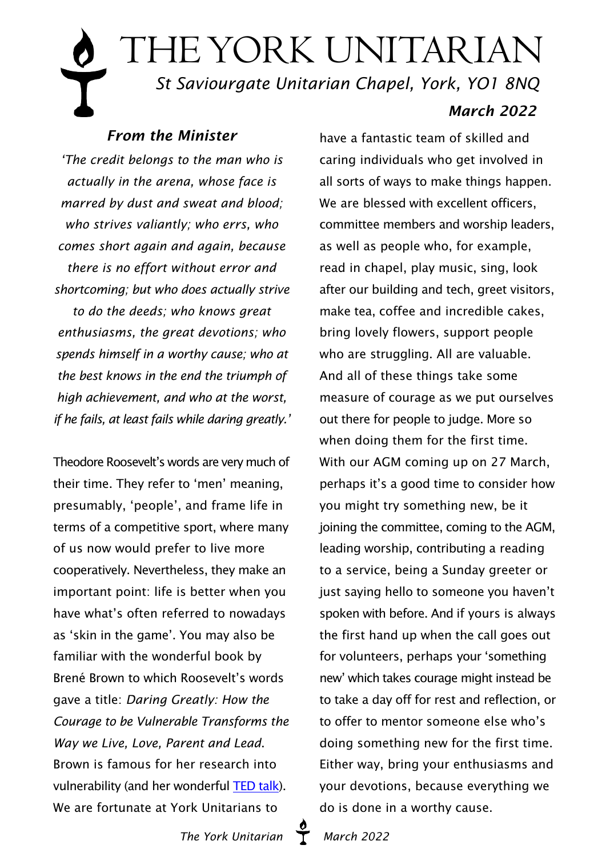# THE YORK UNITARIAN  *St Saviourgate Unitarian Chapel, York, YO1 8NQ March 2022*

## *From the Minister*

*'The credit belongs to the man who is actually in the arena, whose face is marred by dust and sweat and blood; who strives valiantly; who errs, who comes short again and again, because there is no effort without error and shortcoming; but who does actually strive to do the deeds; who knows great enthusiasms, the great devotions; who spends himself in a worthy cause; who at the best knows in the end the triumph of high achievement, and who at the worst, if he fails, at least fails while daring greatly.'*

Theodore Roosevelt's words are very much of their time. They refer to 'men' meaning, presumably, 'people', and frame life in terms of a competitive sport, where many of us now would prefer to live more cooperatively. Nevertheless, they make an important point: life is better when you have what's often referred to nowadays as 'skin in the game'. You may also be familiar with the wonderful book by Brené Brown to which Roosevelt's words gave a title: *Daring Greatly: How the Courage to be Vulnerable Transforms the Way we Live, Love, Parent and Lead*. Brown is famous for her research into vulnerability (and her wonderful [TED talk](https://www.ted.com/talks/brene_brown_the_power_of_vulnerability)). We are fortunate at York Unitarians to

have a fantastic team of skilled and caring individuals who get involved in all sorts of ways to make things happen. We are blessed with excellent officers. committee members and worship leaders, as well as people who, for example, read in chapel, play music, sing, look after our building and tech, greet visitors, make tea, coffee and incredible cakes, bring lovely flowers, support people who are struggling. All are valuable. And all of these things take some measure of courage as we put ourselves out there for people to judge. More so when doing them for the first time. With our AGM coming up on 27 March, perhaps it's a good time to consider how you might try something new, be it joining the committee, coming to the AGM, leading worship, contributing a reading to a service, being a Sunday greeter or just saying hello to someone you haven't spoken with before. And if yours is always the first hand up when the call goes out for volunteers, perhaps your 'something new' which takes courage might instead be to take a day off for rest and reflection, or to offer to mentor someone else who's doing something new for the first time. Either way, bring your enthusiasms and your devotions, because everything we do is done in a worthy cause.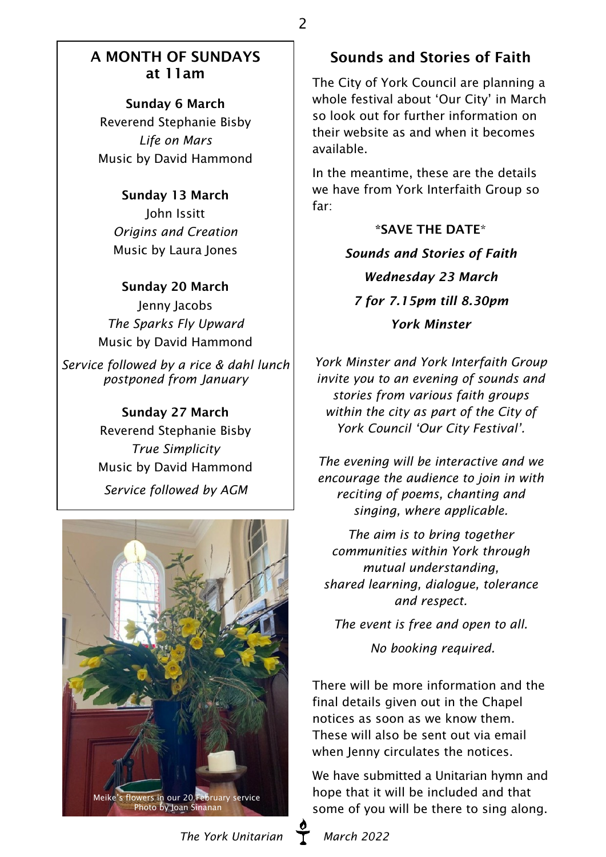#### A MONTH OF SUNDAYS at 11am

2

Sunday 6 March Reverend Stephanie Bisby *Life on Mars* Music by David Hammond

#### Sunday 13 March

John Issitt *Origins and Creation* Music by Laura Jones

Sunday 20 March Jenny Jacobs *The Sparks Fly Upward* Music by David Hammond

*Service followed by a rice & dahl lunch postponed from January*

> Sunday 27 March Reverend Stephanie Bisby *True Simplicity* Music by David Hammond *Service followed by AGM*



#### The York Unitarian **T** March 2022

## Sounds and Stories of Faith

The City of York Council are planning a whole festival about 'Our City' in March so look out for further information on their website as and when it becomes available.

In the meantime, these are the details we have from York Interfaith Group so far:

> \*SAVE THE DATE\* *Sounds and Stories of Faith Wednesday 23 March 7 for 7.15pm till 8.30pm York Minster*

*York Minster and York Interfaith Group invite you to an evening of sounds and stories from various faith groups within the city as part of the City of York Council 'Our City Festival'.*

*The evening will be interactive and we encourage the audience to join in with reciting of poems, chanting and singing, where applicable.*

*The aim is to bring together communities within York through mutual understanding, shared learning, dialogue, tolerance and respect.*

*The event is free and open to all. No booking required.*

There will be more information and the final details given out in the Chapel notices as soon as we know them. These will also be sent out via email when Jenny circulates the notices.

We have submitted a Unitarian hymn and hope that it will be included and that some of you will be there to sing along.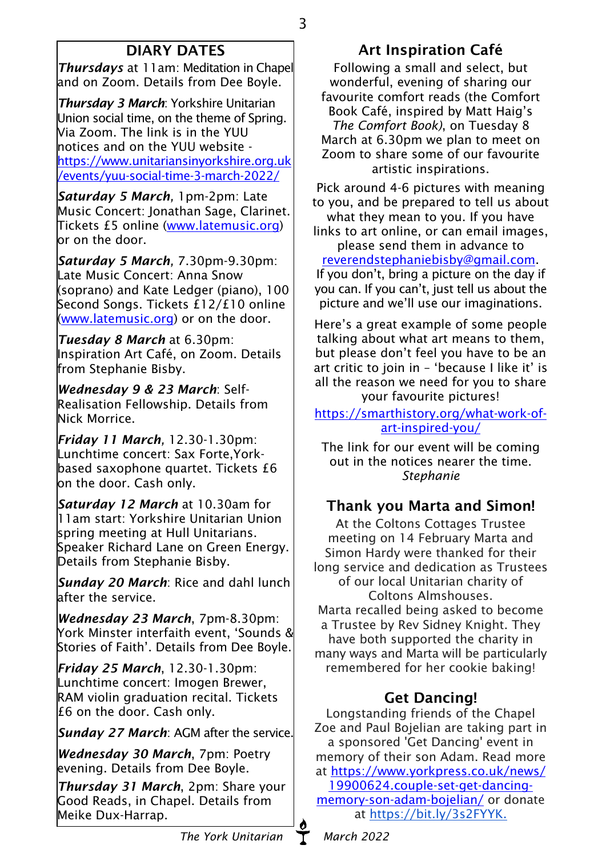# DIARY DATES

*Thursdays* at 11am: Meditation in Chapel and on Zoom. Details from Dee Boyle.

*Thursday 3 March*: Yorkshire Unitarian Union social time, on the theme of Spring. Via Zoom. The link is in the YUU notices and on the YUU website [https://www.unitariansinyorkshire.org.uk](https://www.unitariansinyorkshire.org.uk/events/yuu-social-time-3-march-2022/) [/events/yuu-social-time-3-march-2022/](https://www.unitariansinyorkshire.org.uk/events/yuu-social-time-3-march-2022/)

*Saturday 5 March,* 1pm-2pm: Late Music Concert: Jonathan Sage, Clarinet. Tickets £5 online ([www.latemusic.org\)](https://www.latemusic.org/)  $\mathsf{lor}$  on the door.

*Saturday 5 March,* 7.30pm-9.30pm: Late Music Concert: Anna Snow (soprano) and Kate Ledger (piano), 100 Second Songs. Tickets £12/£10 online [\(www.latemusic.org\)](https://www.latemusic.org/) or on the door.

*Tuesday 8 March* at 6.30pm: Inspiration Art Café, on Zoom. Details from Stephanie Bisby.

*Wednesday 9 & 23 March*: Self-Realisation Fellowship. Details from Nick Morrice.

*Friday 11 March,* 12.30-1.30pm: Lunchtime concert: Sax Forte,Yorkbased saxophone quartet. Tickets £6 on the door. Cash only.

*Saturday 12 March* at 10.30am for 11am start: Yorkshire Unitarian Union spring meeting at Hull Unitarians. Speaker Richard Lane on Green Energy. Details from Stephanie Bisby.

*Sunday 20 March*: Rice and dahl lunch after the service.

*Wednesday 23 March*, 7pm-8.30pm: York Minster interfaith event, 'Sounds & Stories of Faith'. Details from Dee Boyle.

*Friday 25 March*, 12.30-1.30pm: Lunchtime concert: Imogen Brewer, RAM violin graduation recital. Tickets £6 on the door. Cash only.

*Sunday 27 March*: AGM after the service.

*Wednesday 30 March*, 7pm: Poetry evening. Details from Dee Boyle.

*Thursday 31 March*, 2pm: Share your Good Reads, in Chapel. Details from Meike Dux-Harrap.

# Art Inspiration Café

3

Following a small and select, but wonderful, evening of sharing our favourite comfort reads (the Comfort Book Café, inspired by Matt Haig's *The Comfort Book)*, on Tuesday 8 March at 6.30pm we plan to meet on Zoom to share some of our favourite artistic inspirations.

Pick around 4-6 pictures with meaning to you, and be prepared to tell us about what they mean to you. If you have

links to art online, or can email images, please send them in advance to

#### [reverendstephaniebisby@gmail.com](mailto:reverendstephaniebisby@gmail.com).

If you don't, bring a picture on the day if you can. If you can't, just tell us about the picture and we'll use our imaginations.

Here's a great example of some people talking about what art means to them, but please don't feel you have to be an art critic to join in – 'because I like it' is all the reason we need for you to share your favourite pictures!

[https://smarthistory.org/what-work-of](https://smarthistory.org/what-work-of-art-inspired-you/ )[art-inspired-you/](https://smarthistory.org/what-work-of-art-inspired-you/ )

The link for our event will be coming out in the notices nearer the time. *Stephanie*

## Thank you Marta and Simon!

At the Coltons Cottages Trustee meeting on 14 February Marta and Simon Hardy were thanked for their long service and dedication as Trustees of our local Unitarian charity of Coltons Almshouses. Marta recalled being asked to become a Trustee by Rev Sidney Knight. They have both supported the charity in many ways and Marta will be particularly remembered for her cookie baking!

## Get Dancing!

Longstanding friends of the Chapel Zoe and Paul Bojelian are taking part in a sponsored 'Get Dancing' event in memory of their son Adam. Read more at [https://www.yorkpress.co.uk/news/](https://www.yorkpress.co.uk/news/19900624.couple-set-get-dancing-memory-son-adam-bojelian/) [19900624.couple-set-get-dancing](https://www.yorkpress.co.uk/news/19900624.couple-set-get-dancing-memory-son-adam-bojelian/)[memory-son-adam-bojelian/](https://www.yorkpress.co.uk/news/19900624.couple-set-get-dancing-memory-son-adam-bojelian/) or donate at https://bit.ly/3s2FYYK.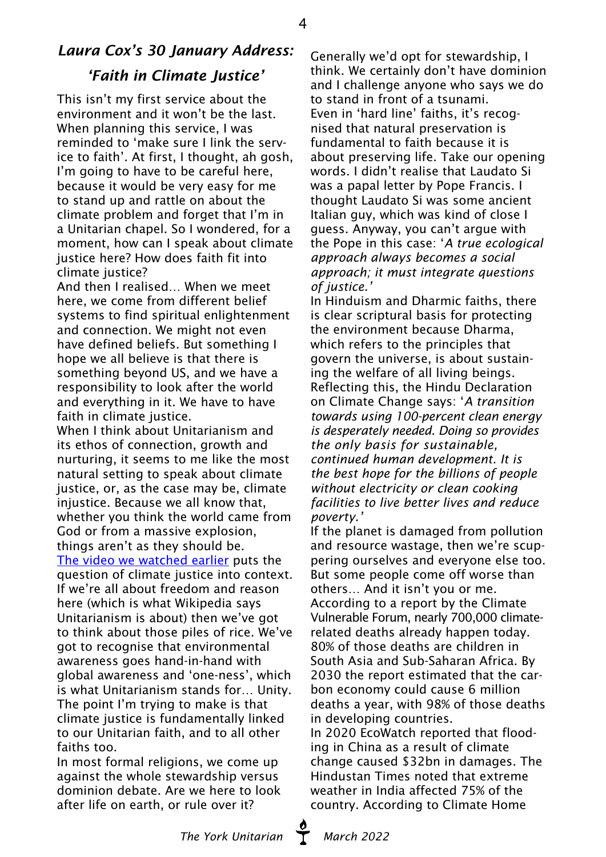## *Laura Cox's 30 January Address: 'Faith in Climate Justice'*

This isn't my first service about the environment and it won't be the last. When planning this service, I was reminded to 'make sure I link the service to faith'. At first, I thought, ah gosh, I'm going to have to be careful here, because it would be very easy for me to stand up and rattle on about the climate problem and forget that I'm in a Unitarian chapel. So I wondered, for a moment, how can I speak about climate justice here? How does faith fit into climate justice?

And then I realised… When we meet here, we come from different belief systems to find spiritual enlightenment and connection. We might not even have defined beliefs. But something I hope we all believe is that there is something beyond US, and we have a responsibility to look after the world and everything in it. We have to have faith in climate justice.

When I think about Unitarianism and its ethos of connection, growth and nurturing, it seems to me like the most natural setting to speak about climate justice, or, as the case may be, climate injustice. Because we all know that, whether you think the world came from God or from a massive explosion, things aren't as they should be.

[The video we watched earlier](https://www.youtube.com/watch?v=pHRu0VV-Dbw) puts the question of climate justice into context. If we're all about freedom and reason here (which is what Wikipedia says Unitarianism is about) then we've got to think about those piles of rice. We've got to recognise that environmental awareness goes hand-in-hand with global awareness and 'one-ness', which is what Unitarianism stands for… Unity. The point I'm trying to make is that climate justice is fundamentally linked to our Unitarian faith, and to all other faiths too.

In most formal religions, we come up against the whole stewardship versus dominion debate. Are we here to look after life on earth, or rule over it?

Generally we'd opt for stewardship, I think. We certainly don't have dominion and I challenge anyone who says we do to stand in front of a tsunami. Even in 'hard line' faiths, it's recognised that natural preservation is fundamental to faith because it is about preserving life. Take our opening words. I didn't realise that Laudato Si was a papal letter by Pope Francis. I thought Laudato Si was some ancient Italian guy, which was kind of close I guess. Anyway, you can't argue with the Pope in this case: '*A true ecological approach always becomes a social approach; it must integrate questions of justice.'*

In Hinduism and Dharmic faiths, there is clear scriptural basis for protecting the environment because Dharma, which refers to the principles that govern the universe, is about sustaining the welfare of all living beings. Reflecting this, the Hindu Declaration on Climate Change says: '*A transition towards using 100-percent clean energy is desperately needed. Doing so provides the only basis for sustainable, continued human development. It is the best hope for the billions of people without electricity or clean cooking facilities to live better lives and reduce poverty.'*

If the planet is damaged from pollution and resource wastage, then we're scuppering ourselves and everyone else too. But some people come off worse than others… And it isn't you or me. According to a report by the Climate Vulnerable Forum, nearly 700,000 climaterelated deaths already happen today. 80% of those deaths are children in South Asia and Sub-Saharan Africa. By 2030 the report estimated that the carbon economy could cause 6 million deaths a year, with 98% of those deaths in developing countries.

In 2020 EcoWatch reported that flooding in China as a result of climate change caused \$32bn in damages. The Hindustan Times noted that extreme weather in India affected 75% of the country. According to Climate Home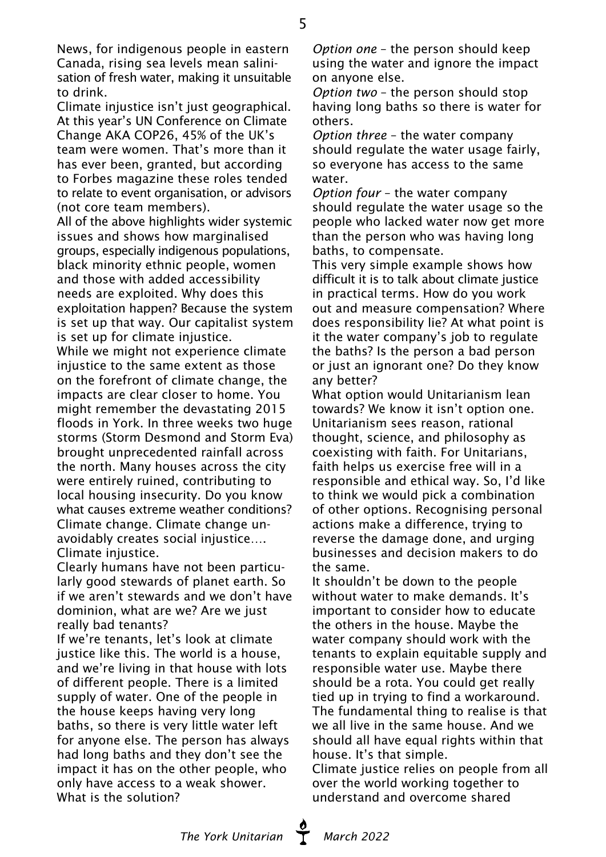News, for indigenous people in eastern Canada, rising sea levels mean salinisation of fresh water, making it unsuitable to drink.

Climate injustice isn't just geographical. At this year's UN Conference on Climate Change AKA COP26, 45% of the UK's team were women. That's more than it has ever been, granted, but according to Forbes magazine these roles tended to relate to event organisation, or advisors (not core team members).

All of the above highlights wider systemic issues and shows how marginalised groups, especially indigenous populations, black minority ethnic people, women and those with added accessibility needs are exploited. Why does this exploitation happen? Because the system is set up that way. Our capitalist system is set up for climate injustice. While we might not experience climate injustice to the same extent as those on the forefront of climate change, the impacts are clear closer to home. You might remember the devastating 2015 floods in York. In three weeks two huge storms (Storm Desmond and Storm Eva) brought unprecedented rainfall across the north. Many houses across the city were entirely ruined, contributing to local housing insecurity. Do you know what causes extreme weather conditions? Climate change. Climate change unavoidably creates social injustice…. Climate injustice.

Clearly humans have not been particularly good stewards of planet earth. So if we aren't stewards and we don't have dominion, what are we? Are we just really bad tenants?

If we're tenants, let's look at climate justice like this. The world is a house, and we're living in that house with lots of different people. There is a limited supply of water. One of the people in the house keeps having very long baths, so there is very little water left for anyone else. The person has always had long baths and they don't see the impact it has on the other people, who only have access to a weak shower. What is the solution?

*Option one* – the person should keep using the water and ignore the impact on anyone else.

*Option two* – the person should stop having long baths so there is water for others.

*Option three* – the water company should regulate the water usage fairly, so everyone has access to the same water.

*Option four* – the water company should regulate the water usage so the people who lacked water now get more than the person who was having long baths, to compensate.

This very simple example shows how difficult it is to talk about climate justice in practical terms. How do you work out and measure compensation? Where does responsibility lie? At what point is it the water company's job to regulate the baths? Is the person a bad person or just an ignorant one? Do they know any better?

What option would Unitarianism lean towards? We know it isn't option one. Unitarianism sees reason, rational thought, science, and philosophy as coexisting with faith. For Unitarians, faith helps us exercise free will in a responsible and ethical way. So, I'd like to think we would pick a combination of other options. Recognising personal actions make a difference, trying to reverse the damage done, and urging businesses and decision makers to do the same.

It shouldn't be down to the people without water to make demands. It's important to consider how to educate the others in the house. Maybe the water company should work with the tenants to explain equitable supply and responsible water use. Maybe there should be a rota. You could get really tied up in trying to find a workaround. The fundamental thing to realise is that we all live in the same house. And we should all have equal rights within that house. It's that simple.

Climate justice relies on people from all over the world working together to understand and overcome shared

The York Unitarian **March 2022**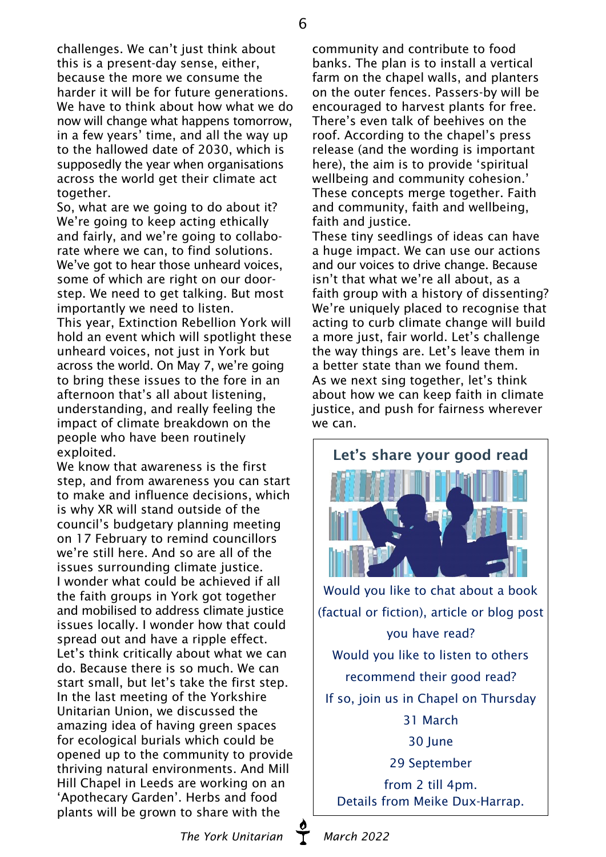challenges. We can't just think about this is a present-day sense, either, because the more we consume the harder it will be for future generations. We have to think about how what we do now will change what happens tomorrow, in a few years' time, and all the way up to the hallowed date of 2030, which is supposedly the year when organisations across the world get their climate act together.

So, what are we going to do about it? We're going to keep acting ethically and fairly, and we're going to collaborate where we can, to find solutions. We've got to hear those unheard voices. some of which are right on our doorstep. We need to get talking. But most importantly we need to listen. This year, Extinction Rebellion York will hold an event which will spotlight these unheard voices, not just in York but across the world. On May 7, we're going to bring these issues to the fore in an afternoon that's all about listening, understanding, and really feeling the impact of climate breakdown on the people who have been routinely exploited.

We know that awareness is the first step, and from awareness you can start to make and influence decisions, which is why XR will stand outside of the council's budgetary planning meeting on 17 February to remind councillors we're still here. And so are all of the issues surrounding climate justice. I wonder what could be achieved if all the faith groups in York got together and mobilised to address climate justice issues locally. I wonder how that could spread out and have a ripple effect. Let's think critically about what we can do. Because there is so much. We can start small, but let's take the first step. In the last meeting of the Yorkshire Unitarian Union, we discussed the amazing idea of having green spaces for ecological burials which could be opened up to the community to provide thriving natural environments. And Mill Hill Chapel in Leeds are working on an 'Apothecary Garden'. Herbs and food plants will be grown to share with the

community and contribute to food banks. The plan is to install a vertical farm on the chapel walls, and planters on the outer fences. Passers-by will be encouraged to harvest plants for free. There's even talk of beehives on the roof. According to the chapel's press release (and the wording is important here), the aim is to provide 'spiritual wellbeing and community cohesion.' These concepts merge together. Faith and community, faith and wellbeing, faith and justice.

These tiny seedlings of ideas can have a huge impact. We can use our actions and our voices to drive change. Because isn't that what we're all about, as a faith group with a history of dissenting? We're uniquely placed to recognise that acting to curb climate change will build a more just, fair world. Let's challenge the way things are. Let's leave them in a better state than we found them. As we next sing together, let's think about how we can keep faith in climate justice, and push for fairness wherever we can.



Would you like to chat about a book (factual or fiction), article or blog post you have read? Would you like to listen to others recommend their good read? If so, join us in Chapel on Thursday 31 March 30 June 29 September from 2 till 4pm. Details from Meike Dux-Harrap.

The York Unitarian **T** March 2022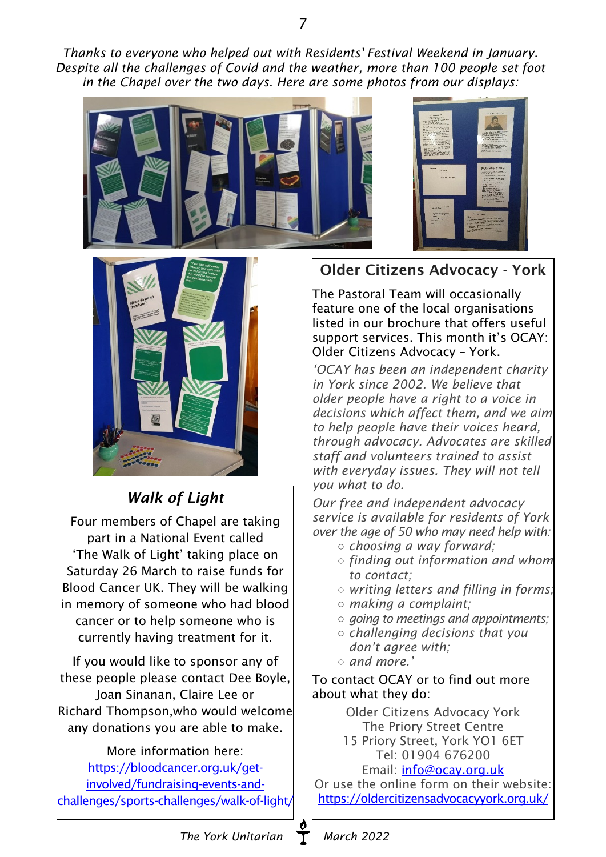*Thanks to everyone who helped out with Residents' Festival Weekend in January. Despite all the challenges of Covid and the weather, more than 100 people set foot in the Chapel over the two days. Here are some photos from our displays:*





*Walk of Light*

Four members of Chapel are taking part in a National Event called 'The Walk of Light' taking place on Saturday 26 March to raise funds for Blood Cancer UK. They will be walking in memory of someone who had blood cancer or to help someone who is currently having treatment for it.

If you would like to sponsor any of these people please contact Dee Boyle, Joan Sinanan, Claire Lee or Richard Thompson,who would welcome any donations you are able to make.

More information here: [https://bloodcancer.org.uk/get](https://bloodcancer.org.uk/get-involved/fundraising-events-and-challenges/sports-challenges/walk-of-light/ )[involved/fundraising-events-and](https://bloodcancer.org.uk/get-involved/fundraising-events-and-challenges/sports-challenges/walk-of-light/ )[challenges/sports-challenges/walk-of-light/](https://bloodcancer.org.uk/get-involved/fundraising-events-and-challenges/sports-challenges/walk-of-light/ )

# Older Citizens Advocacy - York

The Pastoral Team will occasionally feature one of the local organisations listed in our brochure that offers useful support services. This month it's OCAY: Older Citizens Advocacy – York.

*'OCAY has been an independent charity in York since 2002. We believe that older people have a right to a voice in decisions which affect them, and we aim to help people have their voices heard, through advocacy. Advocates are skilled staff and volunteers trained to assist with everyday issues. They will not tell you what to do.*

*Our free and independent advocacy service is available for residents of York over the age of 50 who may need help with:*

- *○ choosing a way forward;*
- *○ finding out information and whom to contact;*
- *○ writing letters and filling in forms;*
- *○ making a complaint;*
- *○ going to meetings and appointments;*
- *○ challenging decisions that you don't agree with;*
- *○ and more.'*

To contact OCAY or to find out more about what they do:

> Older Citizens Advocacy York The Priory Street Centre

> 15 Priory Street, York YO1 6ET Tel: 01904 676200

Email: [info@ocay.org.uk](mailto:info@ocay.org.uk) Or use the online form on their website: <https://oldercitizensadvocacyyork.org.uk/>